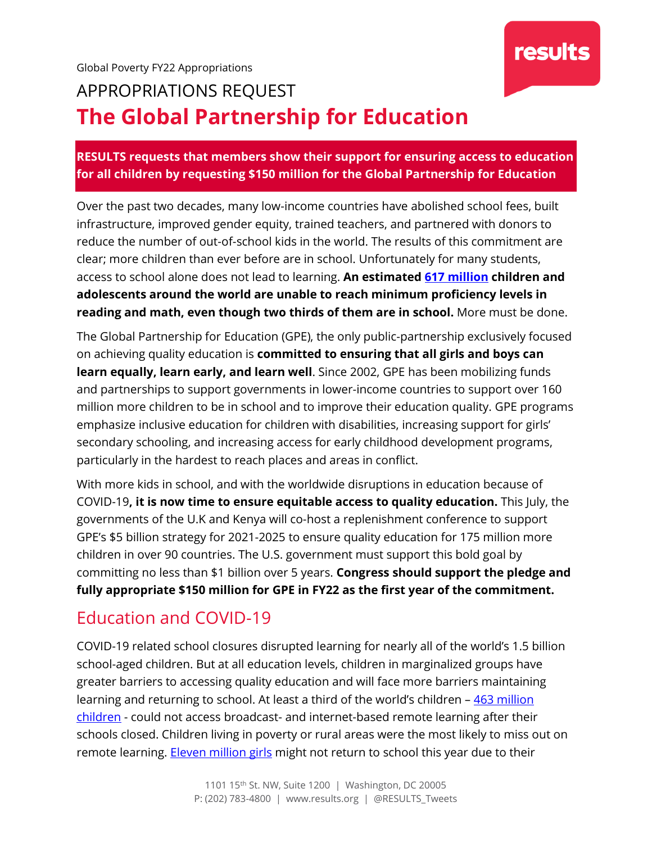

# APPROPRIATIONS REQUEST **The Global Partnership for Education**

**RESULTS requests that members show their support for ensuring access to education for all children by requesting \$150 million for the Global Partnership for Education** 

Over the past two decades, many low-income countries have abolished school fees, built infrastructure, improved gender equity, trained teachers, and partnered with donors to reduce the number of out-of-school kids in the world. The results of this commitment are clear; more children than ever before are in school. Unfortunately for many students, access to school alone does not lead to learning. **An estimated [617 million](https://www.unicef.org/education) children and adolescents around the world are unable to reach minimum proficiency levels in reading and math, even though two thirds of them are in school.** More must be done.

The Global Partnership for Education (GPE), the only public-partnership exclusively focused on achieving quality education is **committed to ensuring that all girls and boys can learn equally, learn early, and learn well**. Since 2002, GPE has been mobilizing funds and partnerships to support governments in lower-income countries to support over 160 million more children to be in school and to improve their education quality. GPE programs emphasize inclusive education for children with disabilities, increasing support for girls' secondary schooling, and increasing access for early childhood development programs, particularly in the hardest to reach places and areas in conflict.

With more kids in school, and with the worldwide disruptions in education because of COVID-19**, it is now time to ensure equitable access to quality education.** This July, the governments of the U.K and Kenya will co-host a replenishment conference to support GPE's \$5 billion strategy for 2021-2025 to ensure quality education for 175 million more children in over 90 countries. The U.S. government must support this bold goal by committing no less than \$1 billion over 5 years. **Congress should support the pledge and fully appropriate \$150 million for GPE in FY22 as the first year of the commitment.**

### Education and COVID-19

COVID-19 related school closures disrupted learning for nearly all of the world's 1.5 billion school-aged children. But at all education levels, children in marginalized groups have greater barriers to accessing quality education and will face more barriers maintaining learning and returning to school. At least a third of the world's children - 463 million [children](https://www.unicef.org/press-releases/covid-19-least-third-worlds-schoolchildren-unable-access-remote-learning-during) - could not access broadcast- and internet-based remote learning after their schools closed. Children living in poverty or rural areas were the most likely to miss out on remote learning. [Eleven million girls](https://en.unesco.org/covid19/educationresponse/girlseducation) might not return to school this year due to their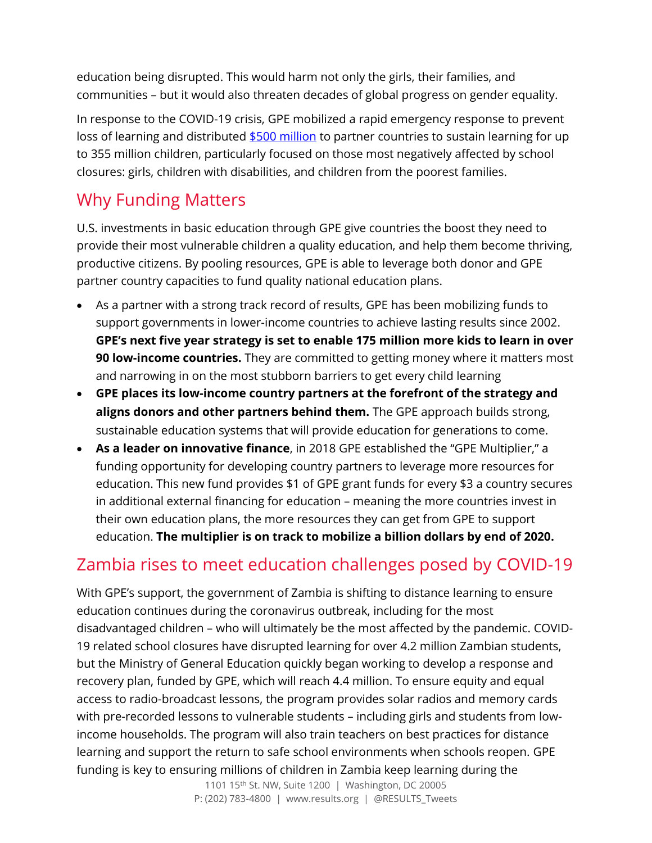education being disrupted. This would harm not only the girls, their families, and communities – but it would also threaten decades of global progress on gender equality.

In response to the COVID-19 crisis, GPE mobilized a rapid emergency response to prevent loss of learning and distributed [\\$500 million](https://www.globalpartnership.org/sites/default/files/document/file/2020-10-GPE-summary-case-for-investment.pdf) to partner countries to sustain learning for up to 355 million children, particularly focused on those most negatively affected by school closures: girls, children with disabilities, and children from the poorest families.

## Why Funding Matters

U.S. investments in basic education through GPE give countries the boost they need to provide their most vulnerable children a quality education, and help them become thriving, productive citizens. By pooling resources, GPE is able to leverage both donor and GPE partner country capacities to fund quality national education plans.

- As a partner with a strong track record of results, GPE has been mobilizing funds to support governments in lower-income countries to achieve lasting results since 2002. **GPE's next five year strategy is set to enable 175 million more kids to learn in over 90 low-income countries.** They are committed to getting money where it matters most and narrowing in on the most stubborn barriers to get every child learning
- **GPE places its low-income country partners at the forefront of the strategy and aligns donors and other partners behind them.** The GPE approach builds strong, sustainable education systems that will provide education for generations to come.
- **As a leader on innovative finance**, in 2018 GPE established the "GPE Multiplier," a funding opportunity for developing country partners to leverage more resources for education. This new fund provides \$1 of GPE grant funds for every \$3 a country secures in additional external financing for education – meaning the more countries invest in their own education plans, the more resources they can get from GPE to support education. **The multiplier is on track to mobilize a billion dollars by end of 2020.**

# Zambia rises to meet education challenges posed by COVID-19

With GPE's support, the government of Zambia is shifting to distance learning to ensure education continues during the coronavirus outbreak, including for the most disadvantaged children – who will ultimately be the most affected by the pandemic. COVID-19 related school closures have disrupted learning for over 4.2 million Zambian students, but the Ministry of General Education quickly began working to develop a response and recovery plan, funded by GPE, which will reach 4.4 million. To ensure equity and equal access to radio-broadcast lessons, the program provides solar radios and memory cards with pre-recorded lessons to vulnerable students – including girls and students from lowincome households. The program will also train teachers on best practices for distance learning and support the return to safe school environments when schools reopen. GPE funding is key to ensuring millions of children in Zambia keep learning during the